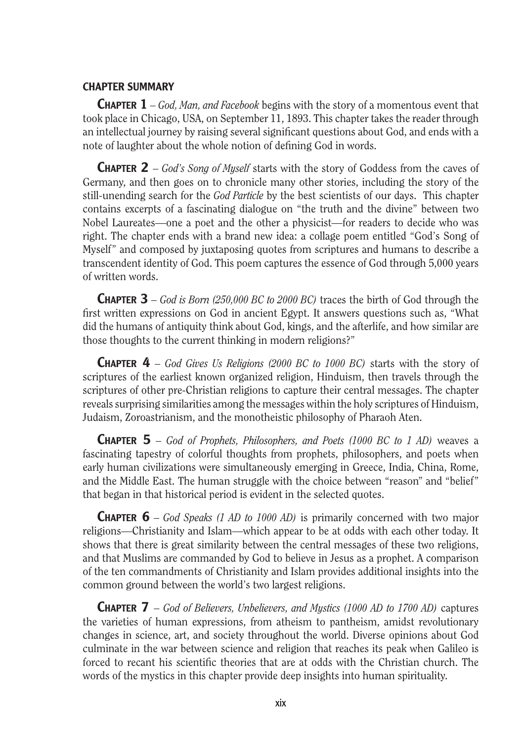## CHAPTER SUMMARY

Chapter 1 – *God, Man, and Facebook* begins with the story of a momentous event that took place in Chicago, USA, on September 11, 1893. This chapter takes the reader through an intellectual journey by raising several significant questions about God, and ends with a note of laughter about the whole notion of defining God in words.

Chapter 2 – *God's Song of Myself* starts with the story of Goddess from the caves of Germany, and then goes on to chronicle many other stories, including the story of the still-unending search for the *God Particle* by the best scientists of our days. This chapter contains excerpts of a fascinating dialogue on "the truth and the divine" between two Nobel Laureates—one a poet and the other a physicist—for readers to decide who was right. The chapter ends with a brand new idea: a collage poem entitled "God's Song of Myself" and composed by juxtaposing quotes from scriptures and humans to describe a transcendent identity of God. This poem captures the essence of God through 5,000 years of written words.

Chapter 3 – *God is Born (250,000 BC to 2000 BC)* traces the birth of God through the first written expressions on God in ancient Egypt. It answers questions such as, "What did the humans of antiquity think about God, kings, and the afterlife, and how similar are those thoughts to the current thinking in modern religions?"

Chapter 4 – *God Gives Us Religions (2000 BC to 1000 BC)* starts with the story of scriptures of the earliest known organized religion, Hinduism, then travels through the scriptures of other pre-Christian religions to capture their central messages. The chapter reveals surprising similarities among the messages within the holy scriptures of Hinduism, Judaism, Zoroastrianism, and the monotheistic philosophy of Pharaoh Aten.

Chapter 5 – *God of Prophets, Philosophers, and Poets (1000 BC to 1 AD)* weaves a fascinating tapestry of colorful thoughts from prophets, philosophers, and poets when early human civilizations were simultaneously emerging in Greece, India, China, Rome, and the Middle East. The human struggle with the choice between "reason" and "belief" that began in that historical period is evident in the selected quotes.

Chapter 6 – *God Speaks (1 AD to 1000 AD)* is primarily concerned with two major religions—Christianity and Islam—which appear to be at odds with each other today. It shows that there is great similarity between the central messages of these two religions, and that Muslims are commanded by God to believe in Jesus as a prophet. A comparison of the ten commandments of Christianity and Islam provides additional insights into the common ground between the world's two largest religions.

Chapter 7 – *God of Believers, Unbelievers, and Mystics (1000 AD to 1700 AD)* captures the varieties of human expressions, from atheism to pantheism, amidst revolutionary changes in science, art, and society throughout the world. Diverse opinions about God culminate in the war between science and religion that reaches its peak when Galileo is forced to recant his scientific theories that are at odds with the Christian church. The words of the mystics in this chapter provide deep insights into human spirituality.